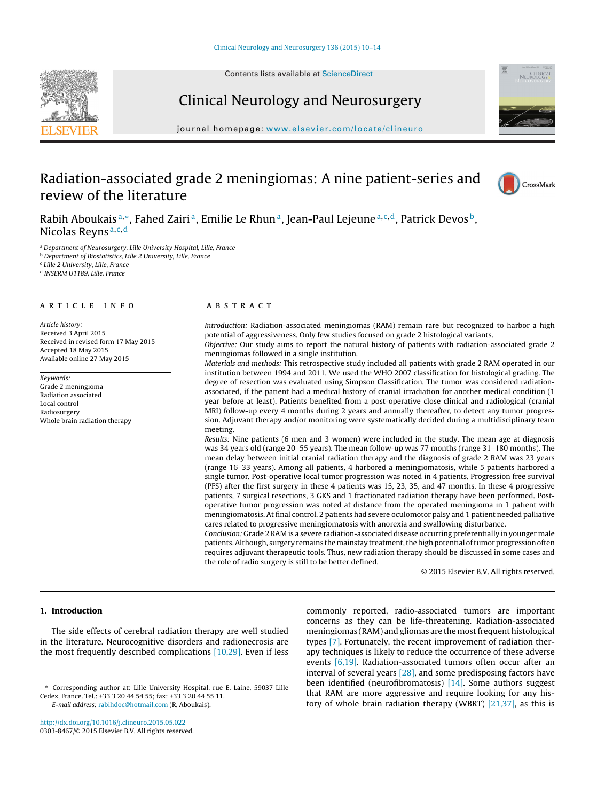Contents lists available at [ScienceDirect](http://www.sciencedirect.com/science/journal/03038467)





# Clinical Neurology and Neurosurgery

iournal homepage: [www.elsevier.com/locate/clineuro](http://www.elsevier.com/locate/clineuro)

# Radiation-associated grade 2 meningiomas: A nine patient-series and review of the literature



Rabih Aboukais<sup>a,∗</sup>, Fahed Zairi<sup>a</sup>, Emilie Le Rhun<sup>a</sup>, Jean-Paul Lejeune<sup>a,c,d</sup>, Patrick Devos<sup>b</sup>, Nicolas Reyns<sup>a,c,d</sup>

<sup>a</sup> Department of Neurosurgery, Lille University Hospital, Lille, France

<sup>b</sup> Department of Biostatistics, Lille 2 University, Lille, France

<sup>c</sup> Lille 2 University, Lille, France

<sup>d</sup> INSERM U1189, Lille, France

### a r t i c l e i n f o

Article history: Received 3 April 2015 Received in revised form 17 May 2015 Accepted 18 May 2015 Available online 27 May 2015

Keywords: Grade 2 meningioma Radiation associated Local control Radiosurgery Whole brain radiation therapy

## A B S T R A C T

Introduction: Radiation-associated meningiomas (RAM) remain rare but recognized to harbor a high potential of aggressiveness. Only few studies focused on grade 2 histological variants. Objective: Our study aims to report the natural history of patients with radiation-associated grade 2 meningiomas followed in a single institution.

Materials and methods: This retrospective study included all patients with grade 2 RAM operated in our institution between 1994 and 2011. We used the WHO 2007 classification for histological grading. The degree of resection was evaluated using Simpson Classification. The tumor was considered radiationassociated, if the patient had a medical history of cranial irradiation for another medical condition (1 year before at least). Patients benefited from a post-operative close clinical and radiological (cranial MRI) follow-up every 4 months during 2 years and annually thereafter, to detect any tumor progression. Adjuvant therapy and/or monitoring were systematically decided during a multidisciplinary team meeting.

Results: Nine patients (6 men and 3 women) were included in the study. The mean age at diagnosis was 34 years old (range 20–55 years). The mean follow-up was 77 months (range 31–180 months). The mean delay between initial cranial radiation therapy and the diagnosis of grade 2 RAM was 23 years (range 16–33 years). Among all patients, 4 harbored a meningiomatosis, while 5 patients harbored a single tumor. Post-operative local tumor progression was noted in 4 patients. Progression free survival (PFS) after the first surgery in these 4 patients was 15, 23, 35, and 47 months. In these 4 progressive patients, 7 surgical resections, 3 GKS and 1 fractionated radiation therapy have been performed. Postoperative tumor progression was noted at distance from the operated meningioma in 1 patient with meningiomatosis. At final control, 2 patients had severe oculomotor palsy and 1 patient needed palliative cares related to progressive meningiomatosis with anorexia and swallowing disturbance.

Conclusion: Grade 2 RAM is a severe radiation-associated disease occurring preferentially in younger male patients. Although, surgery remains the mainstay treatment, the high potential of tumor progression often requires adjuvant therapeutic tools. Thus, new radiation therapy should be discussed in some cases and the role of radio surgery is still to be better defined.

© 2015 Elsevier B.V. All rights reserved.

# **1. Introduction**

The side effects of cerebral radiation therapy are well studied in the literature. Neurocognitive disorders and radionecrosis are the most frequently described complications [\[10,29\].](#page-4-0) Even if less

[http://dx.doi.org/10.1016/j.clineuro.2015.05.022](dx.doi.org/10.1016/j.clineuro.2015.05.022) 0303-8467/© 2015 Elsevier B.V. All rights reserved. commonly reported, radio-associated tumors are important concerns as they can be life-threatening. Radiation-associated meningiomas (RAM) and gliomas are the most frequent histological types [\[7\].](#page-4-0) Fortunately, the recent improvement of radiation therapy techniques is likely to reduce the occurrence of these adverse events [\[6,19\].](#page-4-0) Radiation-associated tumors often occur after an interval of several years [\[28\],](#page-4-0) and some predisposing factors have been identified (neurofibromatosis)  $[14]$ . Some authors suggest that RAM are more aggressive and require looking for any history of whole brain radiation therapy (WBRT) [\[21,37\],](#page-4-0) as this is

<sup>∗</sup> Corresponding author at: Lille University Hospital, rue E. Laine, 59037 Lille Cedex, France. Tel.: +33 3 20 44 54 55; fax: +33 3 20 44 55 11. E-mail address: [rabihdoc@hotmail.com](mailto:rabihdoc@hotmail.com) (R. Aboukais).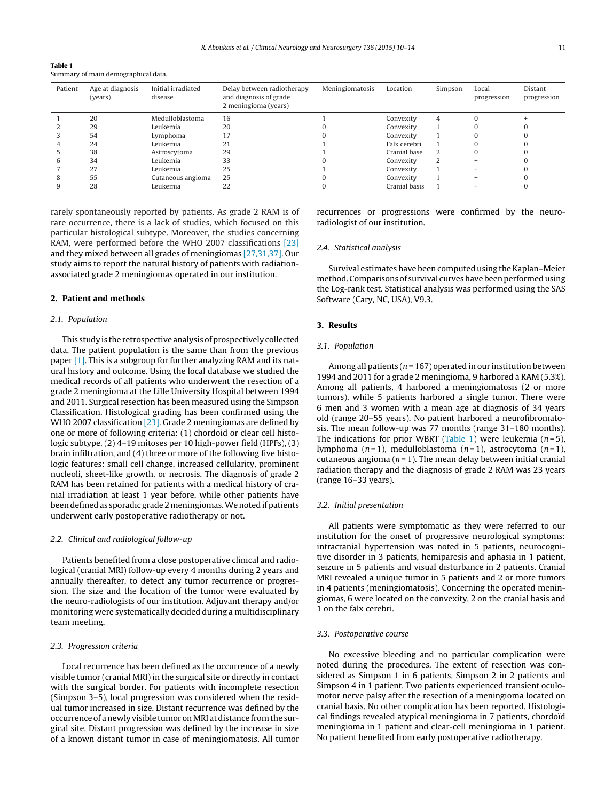<span id="page-1-0"></span>

| Table 1                             |  |
|-------------------------------------|--|
| Summary of main demographical data. |  |

| Patient | Age at diagnosis<br>(years) | Initial irradiated<br>disease | Delay between radiotherapy<br>and diagnosis of grade<br>2 meningioma (years) | Meningiomatosis | Location      | Simpson | Local<br>progression | Distant<br>progression |
|---------|-----------------------------|-------------------------------|------------------------------------------------------------------------------|-----------------|---------------|---------|----------------------|------------------------|
|         | 20                          | Medulloblastoma               | 16                                                                           |                 | Convexity     | 4       |                      |                        |
|         | 29                          | Leukemia                      | 20                                                                           |                 | Convexity     |         |                      |                        |
|         | 54                          | Lymphoma                      |                                                                              |                 | Convexity     |         |                      |                        |
|         | 24                          | Leukemia                      | 21                                                                           |                 | Falx cerebri  |         |                      |                        |
|         | 38                          | Astroscytoma                  | 29                                                                           |                 | Cranial base  | 2       |                      |                        |
|         | 34                          | Leukemia                      | 33                                                                           |                 | Convexity     | 2       |                      |                        |
|         | 27                          | Leukemia                      | 25                                                                           |                 | Convexity     |         |                      |                        |
|         | 55                          | Cutaneous angioma             | 25                                                                           |                 | Convexity     |         |                      |                        |
|         | 28                          | Leukemia                      | 22                                                                           |                 | Cranial basis |         |                      |                        |

rarely spontaneously reported by patients. As grade 2 RAM is of rare occurrence, there is a lack of studies, which focused on this particular histological subtype. Moreover, the studies concerning RAM, were performed before the WHO 2007 classifications [\[23\]](#page-4-0) and they mixed between all grades of meningiomas [\[27,31,37\].](#page-4-0) Our study aims to report the natural history of patients with radiationassociated grade 2 meningiomas operated in our institution.

## **2. Patient and methods**

## 2.1. Population

This study is the retrospective analysis of prospectively collected data. The patient population is the same than from the previous paper [\[1\].](#page-3-0) This is a subgroup for further analyzing RAM and its natural history and outcome. Using the local database we studied the medical records of all patients who underwent the resection of a grade 2 meningioma at the Lille University Hospital between 1994 and 2011. Surgical resection has been measured using the Simpson Classification. Histological grading has been confirmed using the WHO 2007 classification [\[23\].](#page-4-0) Grade 2 meningiomas are defined by one or more of following criteria: (1) chordoid or clear cell histologic subtype, (2) 4–19 mitoses per 10 high-power field (HPFs), (3) brain infiltration, and (4) three or more of the following five histologic features: small cell change, increased cellularity, prominent nucleoli, sheet-like growth, or necrosis. The diagnosis of grade 2 RAM has been retained for patients with a medical history of cranial irradiation at least 1 year before, while other patients have been defined as sporadic grade 2 meningiomas. We noted if patients underwent early postoperative radiotherapy or not.

#### 2.2. Clinical and radiological follow-up

Patients benefited from a close postoperative clinical and radiological (cranial MRI) follow-up every 4 months during 2 years and annually thereafter, to detect any tumor recurrence or progression. The size and the location of the tumor were evaluated by the neuro-radiologists of our institution. Adjuvant therapy and/or monitoring were systematically decided during a multidisciplinary team meeting.

#### 2.3. Progression criteria

Local recurrence has been defined as the occurrence of a newly visible tumor (cranial MRI) in the surgical site or directly in contact with the surgical border. For patients with incomplete resection (Simpson 3–5), local progression was considered when the residual tumor increased in size. Distant recurrence was defined by the occurrence of anewly visible tumor onMRI atdistance fromthe surgical site. Distant progression was defined by the increase in size of a known distant tumor in case of meningiomatosis. All tumor

recurrences or progressions were confirmed by the neuroradiologist of our institution.

## 2.4. Statistical analysis

Survival estimates have been computed using the Kaplan–Meier method. Comparisons of survival curves have been performed using the Log-rank test. Statistical analysis was performed using the SAS Software (Cary, NC, USA), V9.3.

## **3. Results**

# 3.1. Population

Among all patients ( $n = 167$ ) operated in our institution between 1994 and 2011 for a grade 2 meningioma, 9 harbored a RAM (5.3%). Among all patients, 4 harbored a meningiomatosis (2 or more tumors), while 5 patients harbored a single tumor. There were 6 men and 3 women with a mean age at diagnosis of 34 years old (range 20–55 years). No patient harbored a neurofibromatosis. The mean follow-up was 77 months (range 31–180 months). The indications for prior WBRT (Table 1) were leukemia  $(n=5)$ , lymphoma  $(n=1)$ , medulloblastoma  $(n=1)$ , astrocytoma  $(n=1)$ , cutaneous angioma ( $n = 1$ ). The mean delay between initial cranial radiation therapy and the diagnosis of grade 2 RAM was 23 years (range 16–33 years).

### 3.2. Initial presentation

All patients were symptomatic as they were referred to our institution for the onset of progressive neurological symptoms: intracranial hypertension was noted in 5 patients, neurocognitive disorder in 3 patients, hemiparesis and aphasia in 1 patient, seizure in 5 patients and visual disturbance in 2 patients. Cranial MRI revealed a unique tumor in 5 patients and 2 or more tumors in 4 patients (meningiomatosis). Concerning the operated meningiomas, 6 were located on the convexity, 2 on the cranial basis and 1 on the falx cerebri.

#### 3.3. Postoperative course

No excessive bleeding and no particular complication were noted during the procedures. The extent of resection was considered as Simpson 1 in 6 patients, Simpson 2 in 2 patients and Simpson 4 in 1 patient. Two patients experienced transient oculomotor nerve palsy after the resection of a meningioma located on cranial basis. No other complication has been reported. Histological findings revealed atypical meningioma in 7 patients, chordoïd meningioma in 1 patient and clear-cell meningioma in 1 patient. No patient benefited from early postoperative radiotherapy.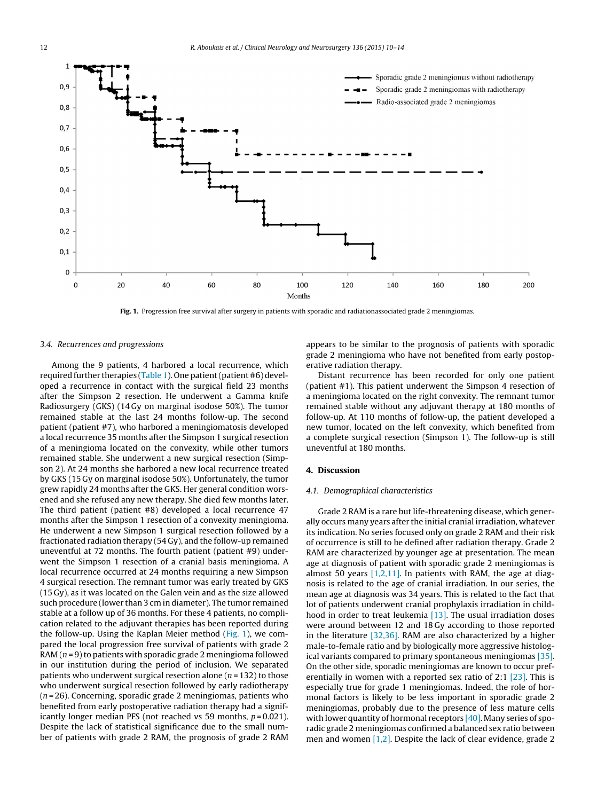<span id="page-2-0"></span>

**Fig. 1.** Progression free survival after surgery in patients with sporadic and radiationassociated grade 2 meningiomas.

#### 3.4. Recurrences and progressions

Among the 9 patients, 4 harbored a local recurrence, which required further therapies [\(Table](#page-1-0) 1). One patient (patient #6) developed a recurrence in contact with the surgical field 23 months after the Simpson 2 resection. He underwent a Gamma knife Radiosurgery (GKS) (14 Gy on marginal isodose 50%). The tumor remained stable at the last 24 months follow-up. The second patient (patient #7), who harbored a meningiomatosis developed a local recurrence 35 months after the Simpson 1 surgical resection of a meningioma located on the convexity, while other tumors remained stable. She underwent a new surgical resection (Simpson 2). At 24 months she harbored a new local recurrence treated by GKS (15 Gy on marginal isodose 50%). Unfortunately, the tumor grew rapidly 24 months after the GKS. Her general condition worsened and she refused any new therapy. She died few months later. The third patient (patient #8) developed a local recurrence 47 months after the Simpson 1 resection of a convexity meningioma. He underwent a new Simpson 1 surgical resection followed by a fractionated radiation therapy (54 Gy), and the follow-up remained uneventful at 72 months. The fourth patient (patient #9) underwent the Simpson 1 resection of a cranial basis meningioma. A local recurrence occurred at 24 months requiring a new Simpson 4 surgical resection. The remnant tumor was early treated by GKS (15 Gy), as it was located on the Galen vein and as the size allowed such procedure (lower than 3 cm in diameter). The tumor remained stable at a follow up of 36 months. For these 4 patients, no complication related to the adjuvant therapies has been reported during the follow-up. Using the Kaplan Meier method (Fig. 1), we compared the local progression free survival of patients with grade 2 RAM  $(n = 9)$  to patients with sporadic grade 2 meningioma followed in our institution during the period of inclusion. We separated patients who underwent surgical resection alone ( $n = 132$ ) to those who underwent surgical resection followed by early radiotherapy  $(n=26)$ . Concerning, sporadic grade 2 meningiomas, patients who benefited from early postoperative radiation therapy had a significantly longer median PFS (not reached vs 59 months,  $p = 0.021$ ). Despite the lack of statistical significance due to the small number of patients with grade 2 RAM, the prognosis of grade 2 RAM

appears to be similar to the prognosis of patients with sporadic grade 2 meningioma who have not benefited from early postoperative radiation therapy.

Distant recurrence has been recorded for only one patient (patient #1). This patient underwent the Simpson 4 resection of a meningioma located on the right convexity. The remnant tumor remained stable without any adjuvant therapy at 180 months of follow-up. At 110 months of follow-up, the patient developed a new tumor, located on the left convexity, which benefited from a complete surgical resection (Simpson 1). The follow-up is still uneventful at 180 months.

### **4. Discussion**

#### 4.1. Demographical characteristics

Grade 2 RAM is a rare but life-threatening disease, which generally occurs many years after the initial cranial irradiation, whatever its indication. No series focused only on grade 2 RAM and their risk of occurrence is still to be defined after radiation therapy. Grade 2 RAM are characterized by younger age at presentation. The mean age at diagnosis of patient with sporadic grade 2 meningiomas is almost 50 years [\[1,2,11\].](#page-3-0) In patients with RAM, the age at diagnosis is related to the age of cranial irradiation. In our series, the mean age at diagnosis was 34 years. This is related to the fact that lot of patients underwent cranial prophylaxis irradiation in childhood in order to treat leukemia  $[13]$ . The usual irradiation doses were around between 12 and 18 Gy according to those reported in the literature [\[32,36\].](#page-4-0) RAM are also characterized by a higher male-to-female ratio and by biologically more aggressive histological variants compared to primary spontaneous meningiomas [\[35\].](#page-4-0) On the other side, sporadic meningiomas are known to occur preferentially in women with a reported sex ratio of 2:1 [\[23\].](#page-4-0) This is especially true for grade 1 meningiomas. Indeed, the role of hormonal factors is likely to be less important in sporadic grade 2 meningiomas, probably due to the presence of less mature cells with lower quantity of hormonal receptors  $[40]$ . Many series of sporadic grade 2 meningiomas confirmed a balanced sex ratio between men and women [\[1,2\].](#page-3-0) Despite the lack of clear evidence, grade 2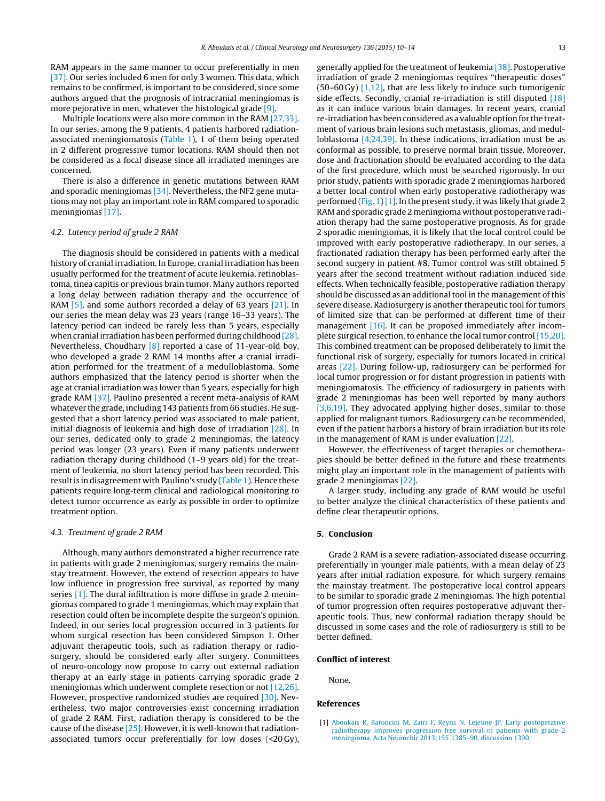<span id="page-3-0"></span>RAM appears in the same manner to occur preferentially in men [\[37\].](#page-4-0) Our series included 6 men for only 3 women. This data, which remains to be confirmed, is important to be considered, since some authors argued that the prognosis of intracranial meningiomas is more pejorative in men, whatever the histological grade [\[9\].](#page-4-0)

Multiple locations were also more common in the RAM [\[27,33\].](#page-4-0) In our series, among the 9 patients, 4 patients harbored radiationassociated meningiomatosis [\(Table](#page-1-0) 1), 1 of them being operated in 2 different progressive tumor locations. RAM should then not be considered as a focal disease since all irradiated meninges are concerned.

There is also a difference in genetic mutations between RAM and sporadic meningiomas [\[34\].](#page-4-0) Nevertheless, the NF2 gene mutations may not play an important role in RAM compared to sporadic meningiomas [\[17\].](#page-4-0)

## 4.2. Latency period of grade 2 RAM

The diagnosis should be considered in patients with a medical history of cranial irradiation. In Europe, cranial irradiation has been usually performed for the treatment of acute leukemia, retinoblastoma, tinea capitis or previous brain tumor. Many authors reported a long delay between radiation therapy and the occurrence of RAM [\[5\],](#page-4-0) and some authors recorded a delay of 63 years [\[21\].](#page-4-0) In our series the mean delay was 23 years (range 16–33 years). The latency period can indeed be rarely less than 5 years, especially when cranial irradiation has been performed during childhood [\[28\].](#page-4-0) Nevertheless, Choudhary [\[8\]](#page-4-0) reported a case of 11-year-old boy, who developed a grade 2 RAM 14 months after a cranial irradiation performed for the treatment of a medulloblastoma. Some authors emphasized that the latency period is shorter when the age at cranial irradiation was lower than 5 years, especially for high grade RAM [\[37\].](#page-4-0) Paulino presented a recent meta-analysis of RAM whatever the grade, including 143 patients from 66 studies. He suggested that a short latency period was associated to male patient, initial diagnosis of leukemia and high dose of irradiation [\[28\].](#page-4-0) In our series, dedicated only to grade 2 meningiomas, the latency period was longer (23 years). Even if many patients underwent radiation therapy during childhood (1–9 years old) for the treatment of leukemia, no short latency period has been recorded. This result is in disagreement with Paulino's study ([Table](#page-1-0) 1). Hence these patients require long-term clinical and radiological monitoring to detect tumor occurrence as early as possible in order to optimize treatment option.

#### 4.3. Treatment of grade 2 RAM

Although, many authors demonstrated a higher recurrence rate in patients with grade 2 meningiomas, surgery remains the mainstay treatment. However, the extend of resection appears to have low influence in progression free survival, as reported by many series [1]. The dural infiltration is more diffuse in grade 2 meningiomas compared to grade 1 meningiomas, which may explain that resection could often be incomplete despite the surgeon's opinion. Indeed, in our series local progression occurred in 3 patients for whom surgical resection has been considered Simpson 1. Other adjuvant therapeutic tools, such as radiation therapy or radiosurgery, should be considered early after surgery. Committees of neuro-oncology now propose to carry out external radiation therapy at an early stage in patients carrying sporadic grade 2 meningiomas which underwent complete resection or not [\[12,26\].](#page-4-0) However, prospective randomized studies are required [\[30\].](#page-4-0) Nevertheless, two major controversies exist concerning irradiation of grade 2 RAM. First, radiation therapy is considered to be the cause of the disease  $[25]$ . However, it is well-known that radiationassociated tumors occur preferentially for low doses (<20 Gy), generally applied for the treatment of leukemia [\[38\].](#page-4-0) Postoperative irradiation of grade 2 meningiomas requires "therapeutic doses" (50–60 Gy) [1,12], that are less likely to induce such tumorigenic side effects. Secondly, cranial re-irradiation is still disputed  $[18]$ as it can induce various brain damages. In recent years, cranial re-irradiation has been considered as a valuable option for the treatment of various brain lesions such metastasis, gliomas, and medulloblastoma [\[4,24,39\].](#page-4-0) In these indications, irradiation must be as conformal as possible, to preserve normal brain tissue. Moreover, dose and fractionation should be evaluated according to the data of the first procedure, which must be searched rigorously. In our prior study, patients with sporadic grade 2 meningiomas harbored a better local control when early postoperative radiotherapy was performed [\(Fig.](#page-2-0) 1)[1]. In the present study, it was likely that grade 2 RAM and sporadic grade 2 meningioma without postoperative radiation therapy had the same postoperative prognosis. As for grade 2 sporadic meningiomas, it is likely that the local control could be improved with early postoperative radiotherapy. In our series, a fractionated radiation therapy has been performed early after the second surgery in patient #8. Tumor control was still obtained 5 years after the second treatment without radiation induced side effects. When technically feasible, postoperative radiation therapy should be discussed as an additional tool in the management of this severe disease. Radiosurgery is another therapeutic tool for tumors of limited size that can be performed at different time of their management [\[16\].](#page-4-0) It can be proposed immediately after incomplete surgical resection, to enhance the local tumor control [\[15,20\].](#page-4-0) This combined treatment can be proposed deliberately to limit the functional risk of surgery, especially for tumors located in critical areas [\[22\].](#page-4-0) During follow-up, radiosurgery can be performed for local tumor progression or for distant progression in patients with meningiomatosis. The efficiency of radiosurgery in patients with grade 2 meningiomas has been well reported by many authors [\[3,6,19\].](#page-4-0) They advocated applying higher doses, similar to those applied for malignant tumors. Radiosurgery can be recommended, even if the patient harbors a history of brain irradiation but its role in the management of RAM is under evaluation [\[22\].](#page-4-0)

However, the effectiveness of target therapies or chemotherapies should be better defined in the future and these treatments might play an important role in the management of patients with grade 2 meningiomas [\[22\].](#page-4-0)

A larger study, including any grade of RAM would be useful to better analyze the clinical characteristics of these patients and define clear therapeutic options.

## **5. Conclusion**

Grade 2 RAM is a severe radiation-associated disease occurring preferentially in younger male patients, with a mean delay of 23 years after initial radiation exposure, for which surgery remains the mainstay treatment. The postoperative local control appears to be similar to sporadic grade 2 meningiomas. The high potential of tumor progression often requires postoperative adjuvant therapeutic tools. Thus, new conformal radiation therapy should be discussed in some cases and the role of radiosurgery is still to be better defined.

#### **Conflict of interest**

None.

#### **References**

[1] [Aboukais](http://refhub.elsevier.com/S0303-8467(15)00191-2/sbref0205) [R,](http://refhub.elsevier.com/S0303-8467(15)00191-2/sbref0205) [Baroncini](http://refhub.elsevier.com/S0303-8467(15)00191-2/sbref0205) [M,](http://refhub.elsevier.com/S0303-8467(15)00191-2/sbref0205) [Zairi](http://refhub.elsevier.com/S0303-8467(15)00191-2/sbref0205) [F,](http://refhub.elsevier.com/S0303-8467(15)00191-2/sbref0205) [Reyns](http://refhub.elsevier.com/S0303-8467(15)00191-2/sbref0205) [N,](http://refhub.elsevier.com/S0303-8467(15)00191-2/sbref0205) [Lejeune](http://refhub.elsevier.com/S0303-8467(15)00191-2/sbref0205) [JP.](http://refhub.elsevier.com/S0303-8467(15)00191-2/sbref0205) [Early](http://refhub.elsevier.com/S0303-8467(15)00191-2/sbref0205) [postoperative](http://refhub.elsevier.com/S0303-8467(15)00191-2/sbref0205) [radiotherapy](http://refhub.elsevier.com/S0303-8467(15)00191-2/sbref0205) [improves](http://refhub.elsevier.com/S0303-8467(15)00191-2/sbref0205) [progression](http://refhub.elsevier.com/S0303-8467(15)00191-2/sbref0205) [free](http://refhub.elsevier.com/S0303-8467(15)00191-2/sbref0205) [survival](http://refhub.elsevier.com/S0303-8467(15)00191-2/sbref0205) [in](http://refhub.elsevier.com/S0303-8467(15)00191-2/sbref0205) [patients](http://refhub.elsevier.com/S0303-8467(15)00191-2/sbref0205) [with](http://refhub.elsevier.com/S0303-8467(15)00191-2/sbref0205) [grade](http://refhub.elsevier.com/S0303-8467(15)00191-2/sbref0205) [2](http://refhub.elsevier.com/S0303-8467(15)00191-2/sbref0205) [meningioma.](http://refhub.elsevier.com/S0303-8467(15)00191-2/sbref0205) [Acta](http://refhub.elsevier.com/S0303-8467(15)00191-2/sbref0205) [Neurochir](http://refhub.elsevier.com/S0303-8467(15)00191-2/sbref0205) [2013;155:1385–90,](http://refhub.elsevier.com/S0303-8467(15)00191-2/sbref0205) [discussion](http://refhub.elsevier.com/S0303-8467(15)00191-2/sbref0205) [1390.](http://refhub.elsevier.com/S0303-8467(15)00191-2/sbref0205)